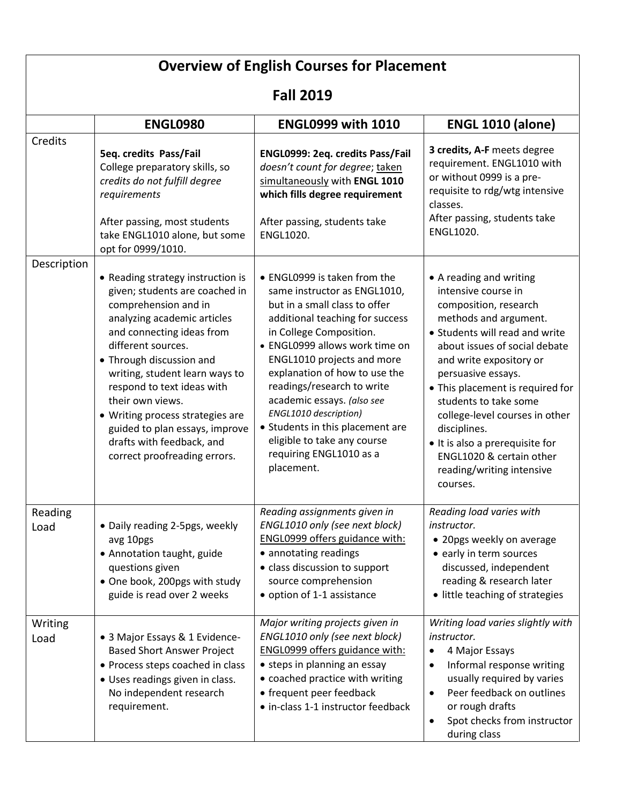| <b>Overview of English Courses for Placement</b><br><b>Fall 2019</b> |                                                                                                                                                                                                                                                                                                                                                                                                                                  |                                                                                                                                                                                                                                                                                                                                                                                                                                                               |                                                                                                                                                                                                                                                                                                                                                                                                                                             |  |
|----------------------------------------------------------------------|----------------------------------------------------------------------------------------------------------------------------------------------------------------------------------------------------------------------------------------------------------------------------------------------------------------------------------------------------------------------------------------------------------------------------------|---------------------------------------------------------------------------------------------------------------------------------------------------------------------------------------------------------------------------------------------------------------------------------------------------------------------------------------------------------------------------------------------------------------------------------------------------------------|---------------------------------------------------------------------------------------------------------------------------------------------------------------------------------------------------------------------------------------------------------------------------------------------------------------------------------------------------------------------------------------------------------------------------------------------|--|
|                                                                      |                                                                                                                                                                                                                                                                                                                                                                                                                                  |                                                                                                                                                                                                                                                                                                                                                                                                                                                               |                                                                                                                                                                                                                                                                                                                                                                                                                                             |  |
| Credits                                                              | 5eq. credits Pass/Fail<br>College preparatory skills, so<br>credits do not fulfill degree<br>requirements<br>After passing, most students<br>take ENGL1010 alone, but some<br>opt for 0999/1010.                                                                                                                                                                                                                                 | ENGL0999: 2eq. credits Pass/Fail<br>doesn't count for degree; taken<br>simultaneously with ENGL 1010<br>which fills degree requirement<br>After passing, students take<br>ENGL1020.                                                                                                                                                                                                                                                                           | 3 credits, A-F meets degree<br>requirement. ENGL1010 with<br>or without 0999 is a pre-<br>requisite to rdg/wtg intensive<br>classes.<br>After passing, students take<br>ENGL1020.                                                                                                                                                                                                                                                           |  |
| Description                                                          | • Reading strategy instruction is<br>given; students are coached in<br>comprehension and in<br>analyzing academic articles<br>and connecting ideas from<br>different sources.<br>• Through discussion and<br>writing, student learn ways to<br>respond to text ideas with<br>their own views.<br>• Writing process strategies are<br>guided to plan essays, improve<br>drafts with feedback, and<br>correct proofreading errors. | • ENGL0999 is taken from the<br>same instructor as ENGL1010,<br>but in a small class to offer<br>additional teaching for success<br>in College Composition.<br>• ENGL0999 allows work time on<br>ENGL1010 projects and more<br>explanation of how to use the<br>readings/research to write<br>academic essays. (also see<br>ENGL1010 description)<br>• Students in this placement are<br>eligible to take any course<br>requiring ENGL1010 as a<br>placement. | • A reading and writing<br>intensive course in<br>composition, research<br>methods and argument.<br>• Students will read and write<br>about issues of social debate<br>and write expository or<br>persuasive essays.<br>• This placement is required for<br>students to take some<br>college-level courses in other<br>disciplines.<br>• It is also a prerequisite for<br>ENGL1020 & certain other<br>reading/writing intensive<br>courses. |  |
| Reading<br>Load                                                      | · Daily reading 2-5pgs, weekly<br>avg 10pgs<br>• Annotation taught, guide<br>questions given<br>• One book, 200pgs with study<br>guide is read over 2 weeks                                                                                                                                                                                                                                                                      | Reading assignments given in<br>ENGL1010 only (see next block)<br><b>ENGL0999 offers guidance with:</b><br>• annotating readings<br>• class discussion to support<br>source comprehension<br>• option of 1-1 assistance                                                                                                                                                                                                                                       | Reading load varies with<br>instructor.<br>• 20pgs weekly on average<br>• early in term sources<br>discussed, independent<br>reading & research later<br>• little teaching of strategies                                                                                                                                                                                                                                                    |  |
| Writing<br>Load                                                      | • 3 Major Essays & 1 Evidence-<br><b>Based Short Answer Project</b><br>• Process steps coached in class<br>• Uses readings given in class.<br>No independent research<br>requirement.                                                                                                                                                                                                                                            | Major writing projects given in<br>ENGL1010 only (see next block)<br><b>ENGL0999 offers guidance with:</b><br>• steps in planning an essay<br>• coached practice with writing<br>• frequent peer feedback<br>· in-class 1-1 instructor feedback                                                                                                                                                                                                               | Writing load varies slightly with<br>instructor.<br>4 Major Essays<br>$\bullet$<br>Informal response writing<br>usually required by varies<br>Peer feedback on outlines<br>$\bullet$<br>or rough drafts<br>Spot checks from instructor<br>during class                                                                                                                                                                                      |  |